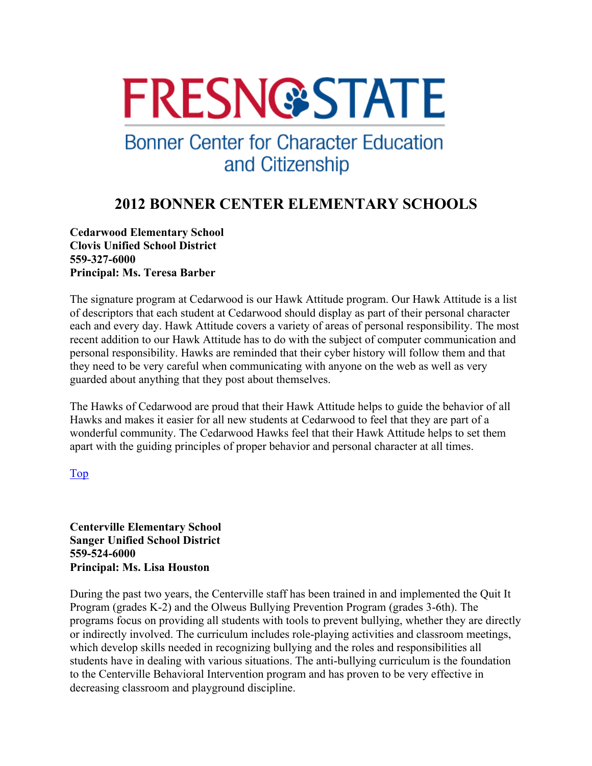# **FRESN@STATE**

## **Bonner Center for Character Education** and Citizenship

### **2012 BONNER CENTER ELEMENTARY SCHOOLS**

**Cedarwood Elementary School Clovis Unified School District 559-327-6000 Principal: Ms. Teresa Barber** 

The signature program at Cedarwood is our Hawk Attitude program. Our Hawk Attitude is a list of descriptors that each student at Cedarwood should display as part of their personal character each and every day. Hawk Attitude covers a variety of areas of personal responsibility. The most recent addition to our Hawk Attitude has to do with the subject of computer communication and personal responsibility. Hawks are reminded that their cyber history will follow them and that they need to be very careful when communicating with anyone on the web as well as very guarded about anything that they post about themselves.

The Hawks of Cedarwood are proud that their Hawk Attitude helps to guide the behavior of all Hawks and makes it easier for all new students at Cedarwood to feel that they are part of a wonderful community. The Cedarwood Hawks feel that their Hawk Attitude helps to set them apart with the guiding principles of proper behavior and personal character at all times.

#### Top

**Centerville Elementary School Sanger Unified School District 559-524-6000 Principal: Ms. Lisa Houston** 

During the past two years, the Centerville staff has been trained in and implemented the Quit It Program (grades K-2) and the Olweus Bullying Prevention Program (grades 3-6th). The programs focus on providing all students with tools to prevent bullying, whether they are directly or indirectly involved. The curriculum includes role-playing activities and classroom meetings, which develop skills needed in recognizing bullying and the roles and responsibilities all students have in dealing with various situations. The anti-bullying curriculum is the foundation to the Centerville Behavioral Intervention program and has proven to be very effective in decreasing classroom and playground discipline.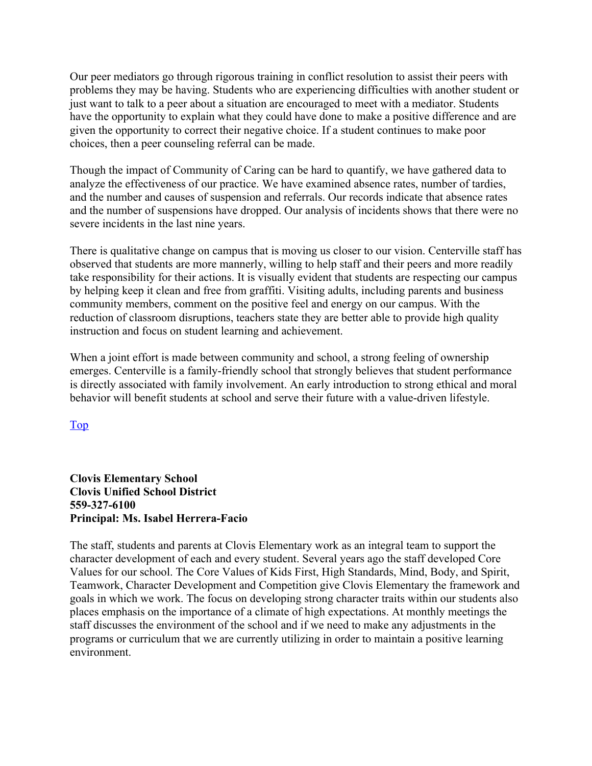Our peer mediators go through rigorous training in conflict resolution to assist their peers with problems they may be having. Students who are experiencing difficulties with another student or just want to talk to a peer about a situation are encouraged to meet with a mediator. Students have the opportunity to explain what they could have done to make a positive difference and are given the opportunity to correct their negative choice. If a student continues to make poor choices, then a peer counseling referral can be made.

Though the impact of Community of Caring can be hard to quantify, we have gathered data to analyze the effectiveness of our practice. We have examined absence rates, number of tardies, and the number and causes of suspension and referrals. Our records indicate that absence rates and the number of suspensions have dropped. Our analysis of incidents shows that there were no severe incidents in the last nine years.

There is qualitative change on campus that is moving us closer to our vision. Centerville staff has observed that students are more mannerly, willing to help staff and their peers and more readily take responsibility for their actions. It is visually evident that students are respecting our campus by helping keep it clean and free from graffiti. Visiting adults, including parents and business community members, comment on the positive feel and energy on our campus. With the reduction of classroom disruptions, teachers state they are better able to provide high quality instruction and focus on student learning and achievement.

When a joint effort is made between community and school, a strong feeling of ownership emerges. Centerville is a family-friendly school that strongly believes that student performance is directly associated with family involvement. An early introduction to strong ethical and moral behavior will benefit students at school and serve their future with a value-driven lifestyle.

Top

#### **Clovis Elementary School Clovis Unified School District 559-327-6100 Principal: Ms. Isabel Herrera-Facio**

The staff, students and parents at Clovis Elementary work as an integral team to support the character development of each and every student. Several years ago the staff developed Core Values for our school. The Core Values of Kids First, High Standards, Mind, Body, and Spirit, Teamwork, Character Development and Competition give Clovis Elementary the framework and goals in which we work. The focus on developing strong character traits within our students also places emphasis on the importance of a climate of high expectations. At monthly meetings the staff discusses the environment of the school and if we need to make any adjustments in the programs or curriculum that we are currently utilizing in order to maintain a positive learning environment.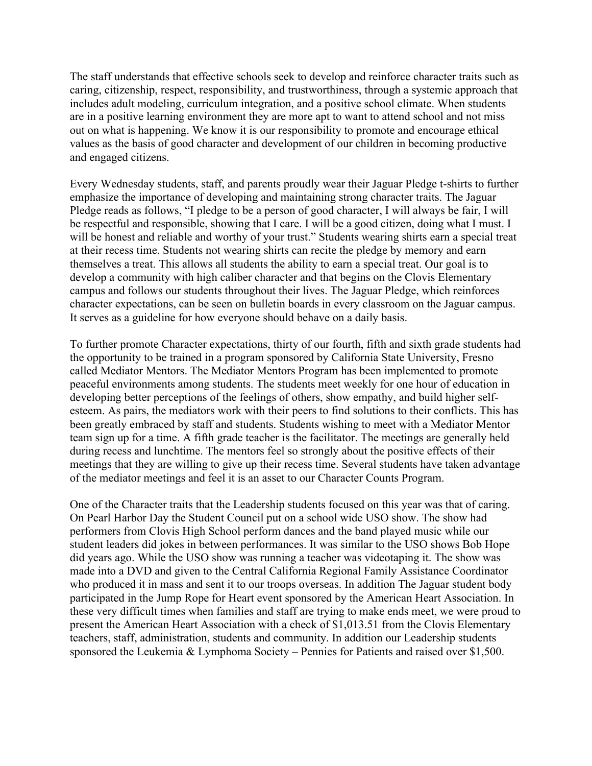The staff understands that effective schools seek to develop and reinforce character traits such as caring, citizenship, respect, responsibility, and trustworthiness, through a systemic approach that includes adult modeling, curriculum integration, and a positive school climate. When students are in a positive learning environment they are more apt to want to attend school and not miss out on what is happening. We know it is our responsibility to promote and encourage ethical values as the basis of good character and development of our children in becoming productive and engaged citizens.

Every Wednesday students, staff, and parents proudly wear their Jaguar Pledge t-shirts to further emphasize the importance of developing and maintaining strong character traits. The Jaguar Pledge reads as follows, "I pledge to be a person of good character, I will always be fair, I will be respectful and responsible, showing that I care. I will be a good citizen, doing what I must. I will be honest and reliable and worthy of your trust." Students wearing shirts earn a special treat at their recess time. Students not wearing shirts can recite the pledge by memory and earn themselves a treat. This allows all students the ability to earn a special treat. Our goal is to develop a community with high caliber character and that begins on the Clovis Elementary campus and follows our students throughout their lives. The Jaguar Pledge, which reinforces character expectations, can be seen on bulletin boards in every classroom on the Jaguar campus. It serves as a guideline for how everyone should behave on a daily basis.

To further promote Character expectations, thirty of our fourth, fifth and sixth grade students had the opportunity to be trained in a program sponsored by California State University, Fresno called Mediator Mentors. The Mediator Mentors Program has been implemented to promote peaceful environments among students. The students meet weekly for one hour of education in developing better perceptions of the feelings of others, show empathy, and build higher selfesteem. As pairs, the mediators work with their peers to find solutions to their conflicts. This has been greatly embraced by staff and students. Students wishing to meet with a Mediator Mentor team sign up for a time. A fifth grade teacher is the facilitator. The meetings are generally held during recess and lunchtime. The mentors feel so strongly about the positive effects of their meetings that they are willing to give up their recess time. Several students have taken advantage of the mediator meetings and feel it is an asset to our Character Counts Program.

One of the Character traits that the Leadership students focused on this year was that of caring. On Pearl Harbor Day the Student Council put on a school wide USO show. The show had performers from Clovis High School perform dances and the band played music while our student leaders did jokes in between performances. It was similar to the USO shows Bob Hope did years ago. While the USO show was running a teacher was videotaping it. The show was made into a DVD and given to the Central California Regional Family Assistance Coordinator who produced it in mass and sent it to our troops overseas. In addition The Jaguar student body participated in the Jump Rope for Heart event sponsored by the American Heart Association. In these very difficult times when families and staff are trying to make ends meet, we were proud to present the American Heart Association with a check of \$1,013.51 from the Clovis Elementary teachers, staff, administration, students and community. In addition our Leadership students sponsored the Leukemia & Lymphoma Society – Pennies for Patients and raised over \$1,500.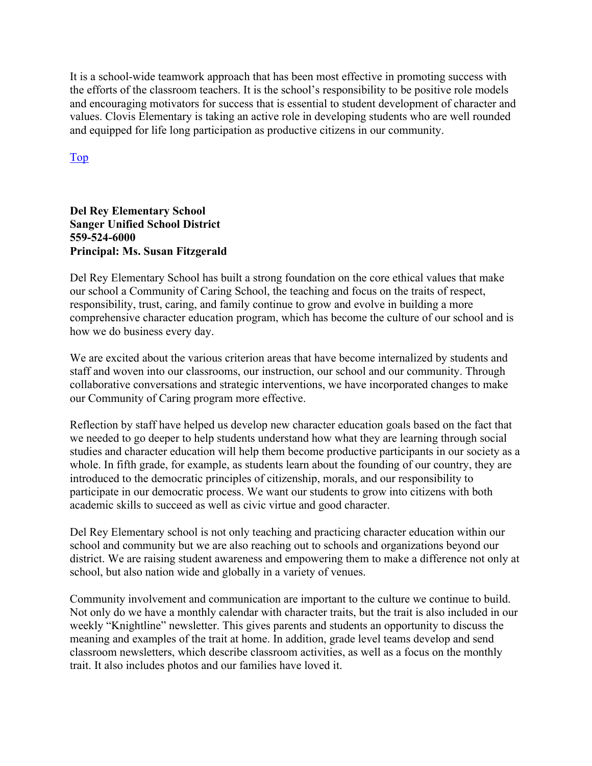It is a school-wide teamwork approach that has been most effective in promoting success with the efforts of the classroom teachers. It is the school's responsibility to be positive role models and encouraging motivators for success that is essential to student development of character and values. Clovis Elementary is taking an active role in developing students who are well rounded and equipped for life long participation as productive citizens in our community.

Top

#### **Del Rey Elementary School Sanger Unified School District 559-524-6000 Principal: Ms. Susan Fitzgerald**

Del Rey Elementary School has built a strong foundation on the core ethical values that make our school a Community of Caring School, the teaching and focus on the traits of respect, responsibility, trust, caring, and family continue to grow and evolve in building a more comprehensive character education program, which has become the culture of our school and is how we do business every day.

We are excited about the various criterion areas that have become internalized by students and staff and woven into our classrooms, our instruction, our school and our community. Through collaborative conversations and strategic interventions, we have incorporated changes to make our Community of Caring program more effective.

Reflection by staff have helped us develop new character education goals based on the fact that we needed to go deeper to help students understand how what they are learning through social studies and character education will help them become productive participants in our society as a whole. In fifth grade, for example, as students learn about the founding of our country, they are introduced to the democratic principles of citizenship, morals, and our responsibility to participate in our democratic process. We want our students to grow into citizens with both academic skills to succeed as well as civic virtue and good character.

Del Rey Elementary school is not only teaching and practicing character education within our school and community but we are also reaching out to schools and organizations beyond our district. We are raising student awareness and empowering them to make a difference not only at school, but also nation wide and globally in a variety of venues.

Community involvement and communication are important to the culture we continue to build. Not only do we have a monthly calendar with character traits, but the trait is also included in our weekly "Knightline" newsletter. This gives parents and students an opportunity to discuss the meaning and examples of the trait at home. In addition, grade level teams develop and send classroom newsletters, which describe classroom activities, as well as a focus on the monthly trait. It also includes photos and our families have loved it.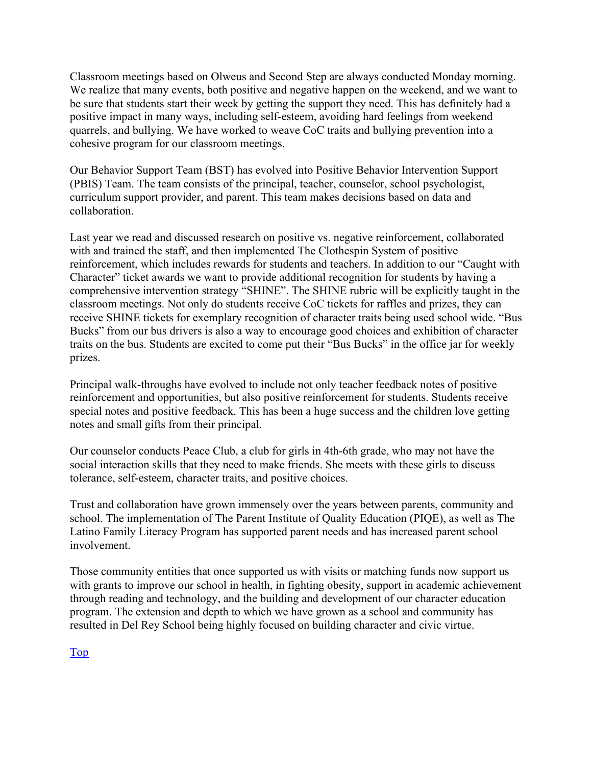Classroom meetings based on Olweus and Second Step are always conducted Monday morning. We realize that many events, both positive and negative happen on the weekend, and we want to be sure that students start their week by getting the support they need. This has definitely had a positive impact in many ways, including self-esteem, avoiding hard feelings from weekend quarrels, and bullying. We have worked to weave CoC traits and bullying prevention into a cohesive program for our classroom meetings.

Our Behavior Support Team (BST) has evolved into Positive Behavior Intervention Support (PBIS) Team. The team consists of the principal, teacher, counselor, school psychologist, curriculum support provider, and parent. This team makes decisions based on data and collaboration.

Last year we read and discussed research on positive vs. negative reinforcement, collaborated with and trained the staff, and then implemented The Clothespin System of positive reinforcement, which includes rewards for students and teachers. In addition to our "Caught with Character" ticket awards we want to provide additional recognition for students by having a comprehensive intervention strategy "SHINE". The SHINE rubric will be explicitly taught in the classroom meetings. Not only do students receive CoC tickets for raffles and prizes, they can receive SHINE tickets for exemplary recognition of character traits being used school wide. "Bus Bucks" from our bus drivers is also a way to encourage good choices and exhibition of character traits on the bus. Students are excited to come put their "Bus Bucks" in the office jar for weekly prizes.

Principal walk-throughs have evolved to include not only teacher feedback notes of positive reinforcement and opportunities, but also positive reinforcement for students. Students receive special notes and positive feedback. This has been a huge success and the children love getting notes and small gifts from their principal.

Our counselor conducts Peace Club, a club for girls in 4th-6th grade, who may not have the social interaction skills that they need to make friends. She meets with these girls to discuss tolerance, self-esteem, character traits, and positive choices.

Trust and collaboration have grown immensely over the years between parents, community and school. The implementation of The Parent Institute of Quality Education (PIQE), as well as The Latino Family Literacy Program has supported parent needs and has increased parent school involvement.

Those community entities that once supported us with visits or matching funds now support us with grants to improve our school in health, in fighting obesity, support in academic achievement through reading and technology, and the building and development of our character education program. The extension and depth to which we have grown as a school and community has resulted in Del Rey School being highly focused on building character and civic virtue.

Top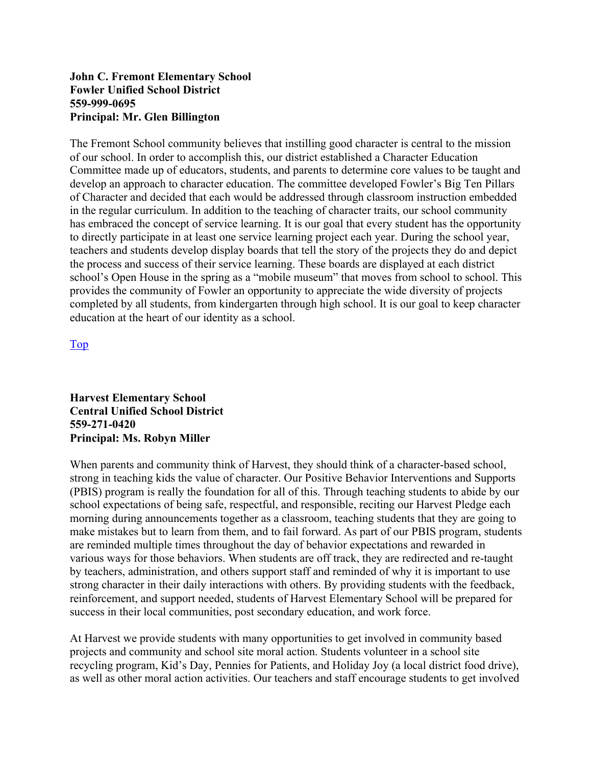#### **John C. Fremont Elementary School Fowler Unified School District 559-999-0695 Principal: Mr. Glen Billington**

The Fremont School community believes that instilling good character is central to the mission of our school. In order to accomplish this, our district established a Character Education Committee made up of educators, students, and parents to determine core values to be taught and develop an approach to character education. The committee developed Fowler's Big Ten Pillars of Character and decided that each would be addressed through classroom instruction embedded in the regular curriculum. In addition to the teaching of character traits, our school community has embraced the concept of service learning. It is our goal that every student has the opportunity to directly participate in at least one service learning project each year. During the school year, teachers and students develop display boards that tell the story of the projects they do and depict the process and success of their service learning. These boards are displayed at each district school's Open House in the spring as a "mobile museum" that moves from school to school. This provides the community of Fowler an opportunity to appreciate the wide diversity of projects completed by all students, from kindergarten through high school. It is our goal to keep character education at the heart of our identity as a school.

Top

#### **Harvest Elementary School Central Unified School District 559-271-0420 Principal: Ms. Robyn Miller**

When parents and community think of Harvest, they should think of a character-based school, strong in teaching kids the value of character. Our Positive Behavior Interventions and Supports (PBIS) program is really the foundation for all of this. Through teaching students to abide by our school expectations of being safe, respectful, and responsible, reciting our Harvest Pledge each morning during announcements together as a classroom, teaching students that they are going to make mistakes but to learn from them, and to fail forward. As part of our PBIS program, students are reminded multiple times throughout the day of behavior expectations and rewarded in various ways for those behaviors. When students are off track, they are redirected and re-taught by teachers, administration, and others support staff and reminded of why it is important to use strong character in their daily interactions with others. By providing students with the feedback, reinforcement, and support needed, students of Harvest Elementary School will be prepared for success in their local communities, post secondary education, and work force.

At Harvest we provide students with many opportunities to get involved in community based projects and community and school site moral action. Students volunteer in a school site recycling program, Kid's Day, Pennies for Patients, and Holiday Joy (a local district food drive), as well as other moral action activities. Our teachers and staff encourage students to get involved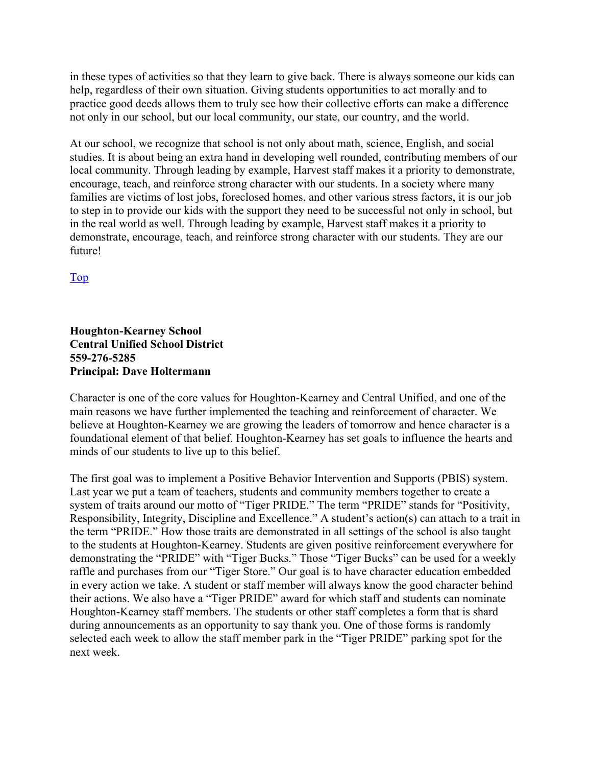in these types of activities so that they learn to give back. There is always someone our kids can help, regardless of their own situation. Giving students opportunities to act morally and to practice good deeds allows them to truly see how their collective efforts can make a difference not only in our school, but our local community, our state, our country, and the world.

At our school, we recognize that school is not only about math, science, English, and social studies. It is about being an extra hand in developing well rounded, contributing members of our local community. Through leading by example, Harvest staff makes it a priority to demonstrate, encourage, teach, and reinforce strong character with our students. In a society where many families are victims of lost jobs, foreclosed homes, and other various stress factors, it is our job to step in to provide our kids with the support they need to be successful not only in school, but in the real world as well. Through leading by example, Harvest staff makes it a priority to demonstrate, encourage, teach, and reinforce strong character with our students. They are our future!

Top

#### **Houghton-Kearney School Central Unified School District 559-276-5285 Principal: Dave Holtermann**

Character is one of the core values for Houghton-Kearney and Central Unified, and one of the main reasons we have further implemented the teaching and reinforcement of character. We believe at Houghton-Kearney we are growing the leaders of tomorrow and hence character is a foundational element of that belief. Houghton-Kearney has set goals to influence the hearts and minds of our students to live up to this belief.

The first goal was to implement a Positive Behavior Intervention and Supports (PBIS) system. Last year we put a team of teachers, students and community members together to create a system of traits around our motto of "Tiger PRIDE." The term "PRIDE" stands for "Positivity, Responsibility, Integrity, Discipline and Excellence." A student's action(s) can attach to a trait in the term "PRIDE." How those traits are demonstrated in all settings of the school is also taught to the students at Houghton-Kearney. Students are given positive reinforcement everywhere for demonstrating the "PRIDE" with "Tiger Bucks." Those "Tiger Bucks" can be used for a weekly raffle and purchases from our "Tiger Store." Our goal is to have character education embedded in every action we take. A student or staff member will always know the good character behind their actions. We also have a "Tiger PRIDE" award for which staff and students can nominate Houghton-Kearney staff members. The students or other staff completes a form that is shard during announcements as an opportunity to say thank you. One of those forms is randomly selected each week to allow the staff member park in the "Tiger PRIDE" parking spot for the next week.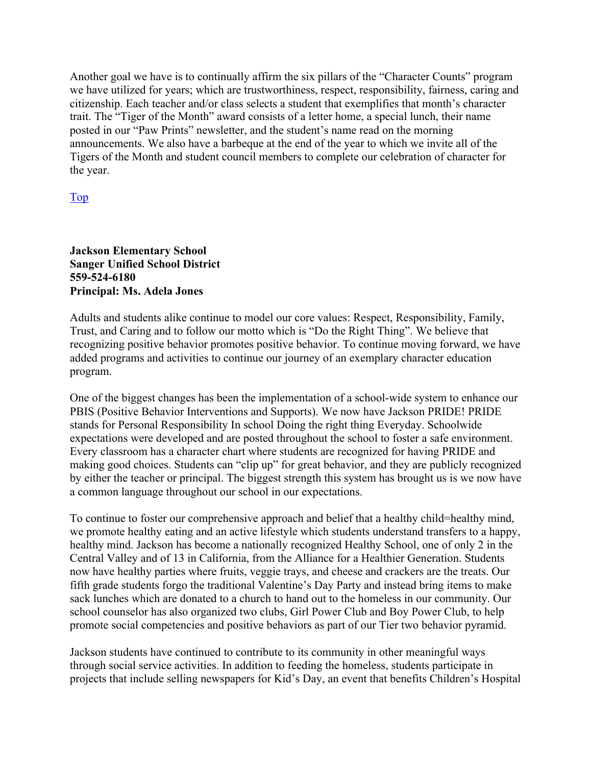Another goal we have is to continually affirm the six pillars of the "Character Counts" program we have utilized for years; which are trustworthiness, respect, responsibility, fairness, caring and citizenship. Each teacher and/or class selects a student that exemplifies that month's character trait. The "Tiger of the Month" award consists of a letter home, a special lunch, their name posted in our "Paw Prints" newsletter, and the student's name read on the morning announcements. We also have a barbeque at the end of the year to which we invite all of the Tigers of the Month and student council members to complete our celebration of character for the year.

#### Top

#### **Jackson Elementary School Sanger Unified School District 559-524-6180 Principal: Ms. Adela Jones**

Adults and students alike continue to model our core values: Respect, Responsibility, Family, Trust, and Caring and to follow our motto which is "Do the Right Thing". We believe that recognizing positive behavior promotes positive behavior. To continue moving forward, we have added programs and activities to continue our journey of an exemplary character education program.

One of the biggest changes has been the implementation of a school-wide system to enhance our PBIS (Positive Behavior Interventions and Supports). We now have Jackson PRIDE! PRIDE stands for Personal Responsibility In school Doing the right thing Everyday. Schoolwide expectations were developed and are posted throughout the school to foster a safe environment. Every classroom has a character chart where students are recognized for having PRIDE and making good choices. Students can "clip up" for great behavior, and they are publicly recognized by either the teacher or principal. The biggest strength this system has brought us is we now have a common language throughout our school in our expectations.

To continue to foster our comprehensive approach and belief that a healthy child=healthy mind, we promote healthy eating and an active lifestyle which students understand transfers to a happy, healthy mind. Jackson has become a nationally recognized Healthy School, one of only 2 in the Central Valley and of 13 in California, from the Alliance for a Healthier Generation. Students now have healthy parties where fruits, veggie trays, and cheese and crackers are the treats. Our fifth grade students forgo the traditional Valentine's Day Party and instead bring items to make sack lunches which are donated to a church to hand out to the homeless in our community. Our school counselor has also organized two clubs, Girl Power Club and Boy Power Club, to help promote social competencies and positive behaviors as part of our Tier two behavior pyramid.

Jackson students have continued to contribute to its community in other meaningful ways through social service activities. In addition to feeding the homeless, students participate in projects that include selling newspapers for Kid's Day, an event that benefits Children's Hospital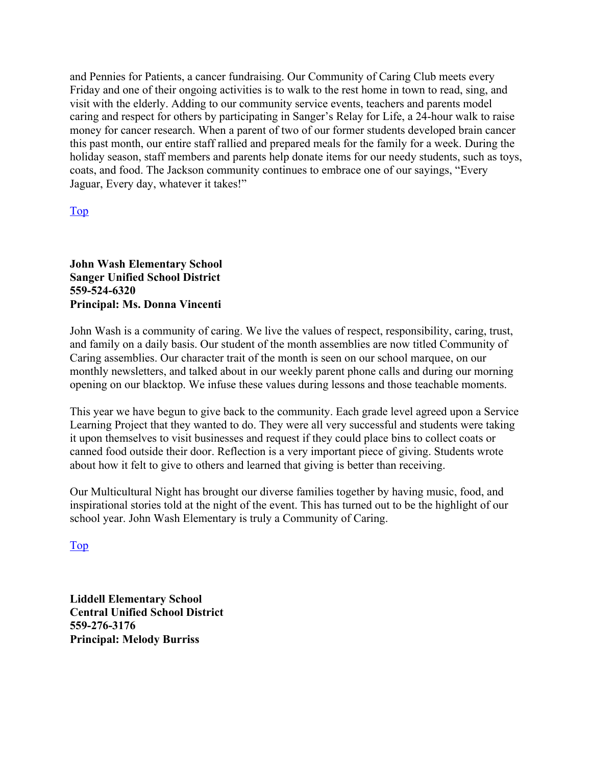and Pennies for Patients, a cancer fundraising. Our Community of Caring Club meets every Friday and one of their ongoing activities is to walk to the rest home in town to read, sing, and visit with the elderly. Adding to our community service events, teachers and parents model caring and respect for others by participating in Sanger's Relay for Life, a 24-hour walk to raise money for cancer research. When a parent of two of our former students developed brain cancer this past month, our entire staff rallied and prepared meals for the family for a week. During the holiday season, staff members and parents help donate items for our needy students, such as toys, coats, and food. The Jackson community continues to embrace one of our sayings, "Every Jaguar, Every day, whatever it takes!"

#### Top

#### **John Wash Elementary School Sanger Unified School District 559-524-6320 Principal: Ms. Donna Vincenti**

John Wash is a community of caring. We live the values of respect, responsibility, caring, trust, and family on a daily basis. Our student of the month assemblies are now titled Community of Caring assemblies. Our character trait of the month is seen on our school marquee, on our monthly newsletters, and talked about in our weekly parent phone calls and during our morning opening on our blacktop. We infuse these values during lessons and those teachable moments.

This year we have begun to give back to the community. Each grade level agreed upon a Service Learning Project that they wanted to do. They were all very successful and students were taking it upon themselves to visit businesses and request if they could place bins to collect coats or canned food outside their door. Reflection is a very important piece of giving. Students wrote about how it felt to give to others and learned that giving is better than receiving.

Our Multicultural Night has brought our diverse families together by having music, food, and inspirational stories told at the night of the event. This has turned out to be the highlight of our school year. John Wash Elementary is truly a Community of Caring.

Top

**Liddell Elementary School Central Unified School District 559-276-3176 Principal: Melody Burriss**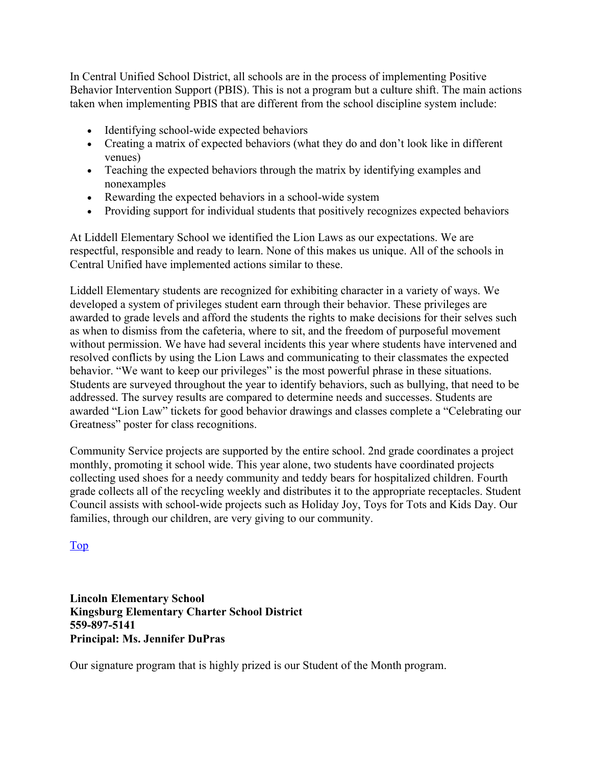In Central Unified School District, all schools are in the process of implementing Positive Behavior Intervention Support (PBIS). This is not a program but a culture shift. The main actions taken when implementing PBIS that are different from the school discipline system include:

- Identifying school-wide expected behaviors
- Creating a matrix of expected behaviors (what they do and don't look like in different venues)
- Teaching the expected behaviors through the matrix by identifying examples and nonexamples
- Rewarding the expected behaviors in a school-wide system
- Providing support for individual students that positively recognizes expected behaviors

At Liddell Elementary School we identified the Lion Laws as our expectations. We are respectful, responsible and ready to learn. None of this makes us unique. All of the schools in Central Unified have implemented actions similar to these.

Liddell Elementary students are recognized for exhibiting character in a variety of ways. We developed a system of privileges student earn through their behavior. These privileges are awarded to grade levels and afford the students the rights to make decisions for their selves such as when to dismiss from the cafeteria, where to sit, and the freedom of purposeful movement without permission. We have had several incidents this year where students have intervened and resolved conflicts by using the Lion Laws and communicating to their classmates the expected behavior. "We want to keep our privileges" is the most powerful phrase in these situations. Students are surveyed throughout the year to identify behaviors, such as bullying, that need to be addressed. The survey results are compared to determine needs and successes. Students are awarded "Lion Law" tickets for good behavior drawings and classes complete a "Celebrating our Greatness" poster for class recognitions.

Community Service projects are supported by the entire school. 2nd grade coordinates a project monthly, promoting it school wide. This year alone, two students have coordinated projects collecting used shoes for a needy community and teddy bears for hospitalized children. Fourth grade collects all of the recycling weekly and distributes it to the appropriate receptacles. Student Council assists with school-wide projects such as Holiday Joy, Toys for Tots and Kids Day. Our families, through our children, are very giving to our community.

Top

**Lincoln Elementary School Kingsburg Elementary Charter School District 559-897-5141 Principal: Ms. Jennifer DuPras** 

Our signature program that is highly prized is our Student of the Month program.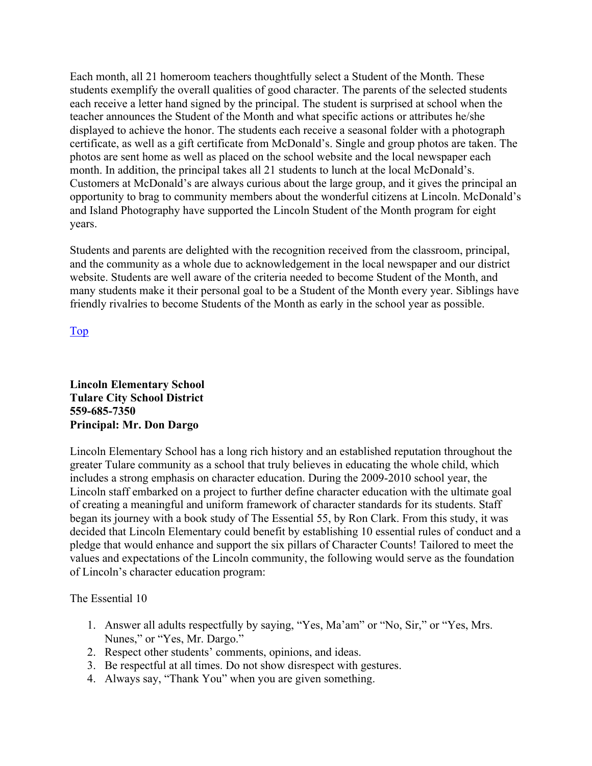Each month, all 21 homeroom teachers thoughtfully select a Student of the Month. These students exemplify the overall qualities of good character. The parents of the selected students each receive a letter hand signed by the principal. The student is surprised at school when the teacher announces the Student of the Month and what specific actions or attributes he/she displayed to achieve the honor. The students each receive a seasonal folder with a photograph certificate, as well as a gift certificate from McDonald's. Single and group photos are taken. The photos are sent home as well as placed on the school website and the local newspaper each month. In addition, the principal takes all 21 students to lunch at the local McDonald's. Customers at McDonald's are always curious about the large group, and it gives the principal an opportunity to brag to community members about the wonderful citizens at Lincoln. McDonald's and Island Photography have supported the Lincoln Student of the Month program for eight years.

Students and parents are delighted with the recognition received from the classroom, principal, and the community as a whole due to acknowledgement in the local newspaper and our district website. Students are well aware of the criteria needed to become Student of the Month, and many students make it their personal goal to be a Student of the Month every year. Siblings have friendly rivalries to become Students of the Month as early in the school year as possible.

Top

**Lincoln Elementary School Tulare City School District 559-685-7350 Principal: Mr. Don Dargo** 

Lincoln Elementary School has a long rich history and an established reputation throughout the greater Tulare community as a school that truly believes in educating the whole child, which includes a strong emphasis on character education. During the 2009-2010 school year, the Lincoln staff embarked on a project to further define character education with the ultimate goal of creating a meaningful and uniform framework of character standards for its students. Staff began its journey with a book study of The Essential 55, by Ron Clark. From this study, it was decided that Lincoln Elementary could benefit by establishing 10 essential rules of conduct and a pledge that would enhance and support the six pillars of Character Counts! Tailored to meet the values and expectations of the Lincoln community, the following would serve as the foundation of Lincoln's character education program:

The Essential 10

- 1. Answer all adults respectfully by saying, "Yes, Ma'am" or "No, Sir," or "Yes, Mrs. Nunes," or "Yes, Mr. Dargo."
- 2. Respect other students' comments, opinions, and ideas.
- 3. Be respectful at all times. Do not show disrespect with gestures.
- 4. Always say, "Thank You" when you are given something.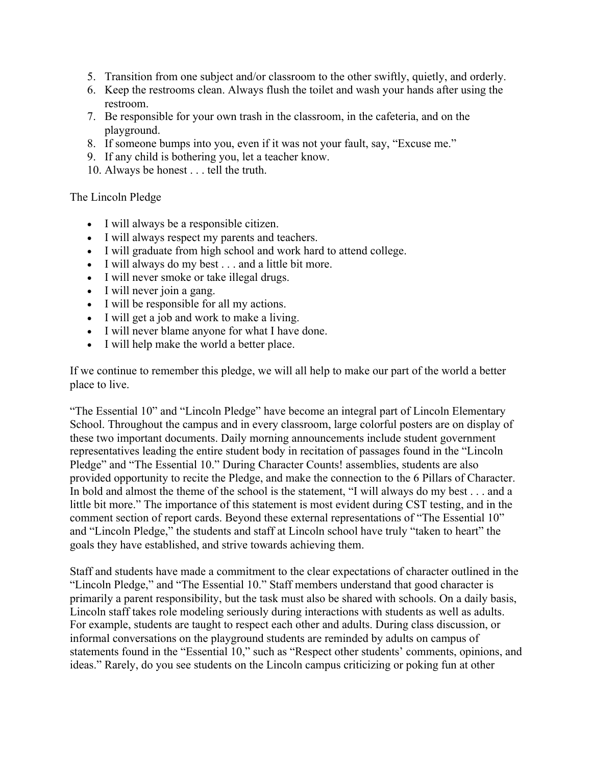- 5. Transition from one subject and/or classroom to the other swiftly, quietly, and orderly.
- 6. Keep the restrooms clean. Always flush the toilet and wash your hands after using the restroom.
- 7. Be responsible for your own trash in the classroom, in the cafeteria, and on the playground.
- 8. If someone bumps into you, even if it was not your fault, say, "Excuse me."
- 9. If any child is bothering you, let a teacher know.
- 10. Always be honest . . . tell the truth.

#### The Lincoln Pledge

- I will always be a responsible citizen.
- I will always respect my parents and teachers.
- I will graduate from high school and work hard to attend college.
- I will always do my best . . . and a little bit more.
- I will never smoke or take illegal drugs.
- I will never join a gang.
- I will be responsible for all my actions.
- I will get a job and work to make a living.
- I will never blame anyone for what I have done.
- I will help make the world a better place.

If we continue to remember this pledge, we will all help to make our part of the world a better place to live.

"The Essential 10" and "Lincoln Pledge" have become an integral part of Lincoln Elementary School. Throughout the campus and in every classroom, large colorful posters are on display of these two important documents. Daily morning announcements include student government representatives leading the entire student body in recitation of passages found in the "Lincoln Pledge" and "The Essential 10." During Character Counts! assemblies, students are also provided opportunity to recite the Pledge, and make the connection to the 6 Pillars of Character. In bold and almost the theme of the school is the statement, "I will always do my best . . . and a little bit more." The importance of this statement is most evident during CST testing, and in the comment section of report cards. Beyond these external representations of "The Essential 10" and "Lincoln Pledge," the students and staff at Lincoln school have truly "taken to heart" the goals they have established, and strive towards achieving them.

Staff and students have made a commitment to the clear expectations of character outlined in the "Lincoln Pledge," and "The Essential 10." Staff members understand that good character is primarily a parent responsibility, but the task must also be shared with schools. On a daily basis, Lincoln staff takes role modeling seriously during interactions with students as well as adults. For example, students are taught to respect each other and adults. During class discussion, or informal conversations on the playground students are reminded by adults on campus of statements found in the "Essential 10," such as "Respect other students' comments, opinions, and ideas." Rarely, do you see students on the Lincoln campus criticizing or poking fun at other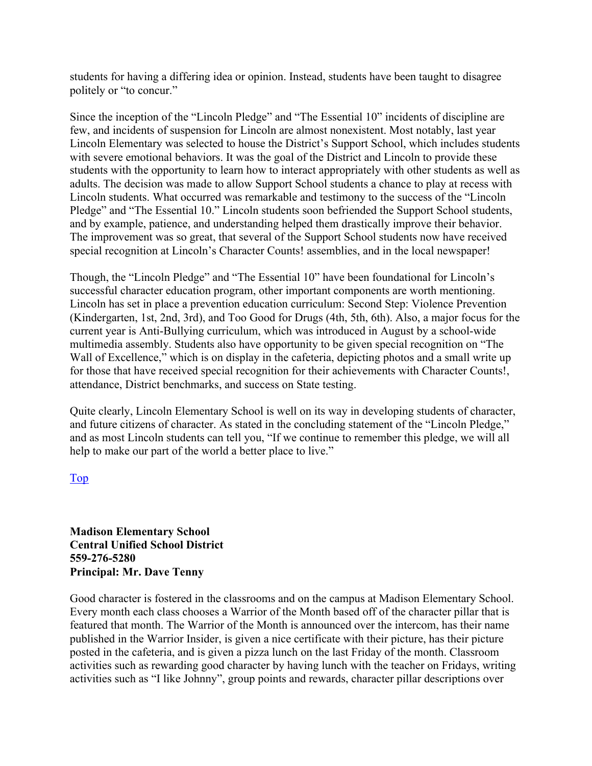students for having a differing idea or opinion. Instead, students have been taught to disagree politely or "to concur."

Since the inception of the "Lincoln Pledge" and "The Essential 10" incidents of discipline are few, and incidents of suspension for Lincoln are almost nonexistent. Most notably, last year Lincoln Elementary was selected to house the District's Support School, which includes students with severe emotional behaviors. It was the goal of the District and Lincoln to provide these students with the opportunity to learn how to interact appropriately with other students as well as adults. The decision was made to allow Support School students a chance to play at recess with Lincoln students. What occurred was remarkable and testimony to the success of the "Lincoln Pledge" and "The Essential 10." Lincoln students soon befriended the Support School students, and by example, patience, and understanding helped them drastically improve their behavior. The improvement was so great, that several of the Support School students now have received special recognition at Lincoln's Character Counts! assemblies, and in the local newspaper!

Though, the "Lincoln Pledge" and "The Essential 10" have been foundational for Lincoln's successful character education program, other important components are worth mentioning. Lincoln has set in place a prevention education curriculum: Second Step: Violence Prevention (Kindergarten, 1st, 2nd, 3rd), and Too Good for Drugs (4th, 5th, 6th). Also, a major focus for the current year is Anti-Bullying curriculum, which was introduced in August by a school-wide multimedia assembly. Students also have opportunity to be given special recognition on "The Wall of Excellence," which is on display in the cafeteria, depicting photos and a small write up for those that have received special recognition for their achievements with Character Counts!, attendance, District benchmarks, and success on State testing.

Quite clearly, Lincoln Elementary School is well on its way in developing students of character, and future citizens of character. As stated in the concluding statement of the "Lincoln Pledge," and as most Lincoln students can tell you, "If we continue to remember this pledge, we will all help to make our part of the world a better place to live."

Top

**Madison Elementary School Central Unified School District 559-276-5280 Principal: Mr. Dave Tenny** 

Good character is fostered in the classrooms and on the campus at Madison Elementary School. Every month each class chooses a Warrior of the Month based off of the character pillar that is featured that month. The Warrior of the Month is announced over the intercom, has their name published in the Warrior Insider, is given a nice certificate with their picture, has their picture posted in the cafeteria, and is given a pizza lunch on the last Friday of the month. Classroom activities such as rewarding good character by having lunch with the teacher on Fridays, writing activities such as "I like Johnny", group points and rewards, character pillar descriptions over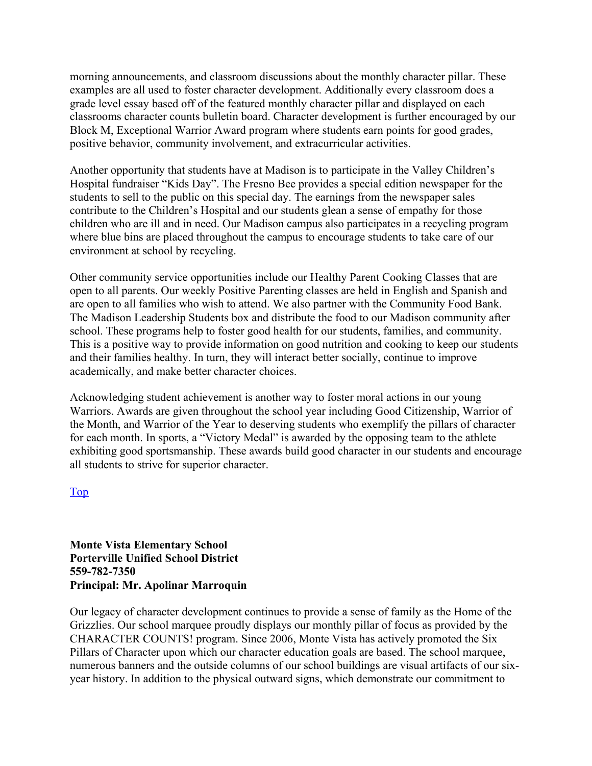morning announcements, and classroom discussions about the monthly character pillar. These examples are all used to foster character development. Additionally every classroom does a grade level essay based off of the featured monthly character pillar and displayed on each classrooms character counts bulletin board. Character development is further encouraged by our Block M, Exceptional Warrior Award program where students earn points for good grades, positive behavior, community involvement, and extracurricular activities.

Another opportunity that students have at Madison is to participate in the Valley Children's Hospital fundraiser "Kids Day". The Fresno Bee provides a special edition newspaper for the students to sell to the public on this special day. The earnings from the newspaper sales contribute to the Children's Hospital and our students glean a sense of empathy for those children who are ill and in need. Our Madison campus also participates in a recycling program where blue bins are placed throughout the campus to encourage students to take care of our environment at school by recycling.

Other community service opportunities include our Healthy Parent Cooking Classes that are open to all parents. Our weekly Positive Parenting classes are held in English and Spanish and are open to all families who wish to attend. We also partner with the Community Food Bank. The Madison Leadership Students box and distribute the food to our Madison community after school. These programs help to foster good health for our students, families, and community. This is a positive way to provide information on good nutrition and cooking to keep our students and their families healthy. In turn, they will interact better socially, continue to improve academically, and make better character choices.

Acknowledging student achievement is another way to foster moral actions in our young Warriors. Awards are given throughout the school year including Good Citizenship, Warrior of the Month, and Warrior of the Year to deserving students who exemplify the pillars of character for each month. In sports, a "Victory Medal" is awarded by the opposing team to the athlete exhibiting good sportsmanship. These awards build good character in our students and encourage all students to strive for superior character.

Top

#### **Monte Vista Elementary School Porterville Unified School District 559-782-7350 Principal: Mr. Apolinar Marroquin**

Our legacy of character development continues to provide a sense of family as the Home of the Grizzlies. Our school marquee proudly displays our monthly pillar of focus as provided by the CHARACTER COUNTS! program. Since 2006, Monte Vista has actively promoted the Six Pillars of Character upon which our character education goals are based. The school marquee, numerous banners and the outside columns of our school buildings are visual artifacts of our sixyear history. In addition to the physical outward signs, which demonstrate our commitment to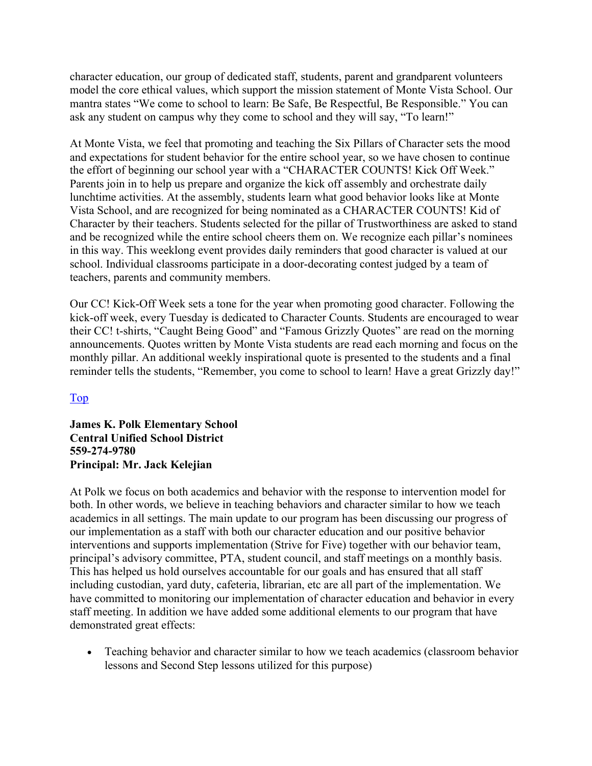character education, our group of dedicated staff, students, parent and grandparent volunteers model the core ethical values, which support the mission statement of Monte Vista School. Our mantra states "We come to school to learn: Be Safe, Be Respectful, Be Responsible." You can ask any student on campus why they come to school and they will say, "To learn!"

At Monte Vista, we feel that promoting and teaching the Six Pillars of Character sets the mood and expectations for student behavior for the entire school year, so we have chosen to continue the effort of beginning our school year with a "CHARACTER COUNTS! Kick Off Week." Parents join in to help us prepare and organize the kick off assembly and orchestrate daily lunchtime activities. At the assembly, students learn what good behavior looks like at Monte Vista School, and are recognized for being nominated as a CHARACTER COUNTS! Kid of Character by their teachers. Students selected for the pillar of Trustworthiness are asked to stand and be recognized while the entire school cheers them on. We recognize each pillar's nominees in this way. This weeklong event provides daily reminders that good character is valued at our school. Individual classrooms participate in a door-decorating contest judged by a team of teachers, parents and community members.

Our CC! Kick-Off Week sets a tone for the year when promoting good character. Following the kick-off week, every Tuesday is dedicated to Character Counts. Students are encouraged to wear their CC! t-shirts, "Caught Being Good" and "Famous Grizzly Quotes" are read on the morning announcements. Quotes written by Monte Vista students are read each morning and focus on the monthly pillar. An additional weekly inspirational quote is presented to the students and a final reminder tells the students, "Remember, you come to school to learn! Have a great Grizzly day!"

#### Top

#### **James K. Polk Elementary School Central Unified School District 559-274-9780 Principal: Mr. Jack Kelejian**

At Polk we focus on both academics and behavior with the response to intervention model for both. In other words, we believe in teaching behaviors and character similar to how we teach academics in all settings. The main update to our program has been discussing our progress of our implementation as a staff with both our character education and our positive behavior interventions and supports implementation (Strive for Five) together with our behavior team, principal's advisory committee, PTA, student council, and staff meetings on a monthly basis. This has helped us hold ourselves accountable for our goals and has ensured that all staff including custodian, yard duty, cafeteria, librarian, etc are all part of the implementation. We have committed to monitoring our implementation of character education and behavior in every staff meeting. In addition we have added some additional elements to our program that have demonstrated great effects:

• Teaching behavior and character similar to how we teach academics (classroom behavior lessons and Second Step lessons utilized for this purpose)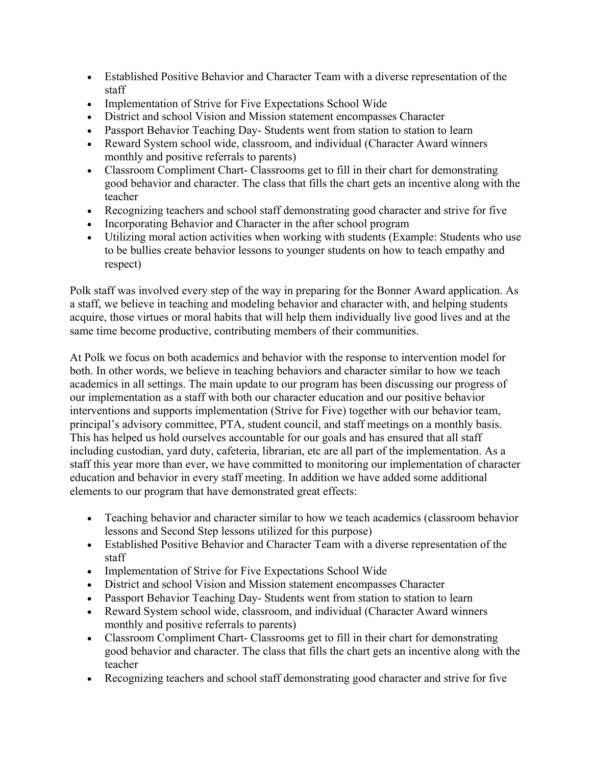- Established Positive Behavior and Character Team with a diverse representation of the staff
- Implementation of Strive for Five Expectations School Wide
- District and school Vision and Mission statement encompasses Character
- Passport Behavior Teaching Day- Students went from station to station to learn
- Reward System school wide, classroom, and individual (Character Award winners monthly and positive referrals to parents)
- Classroom Compliment Chart- Classrooms get to fill in their chart for demonstrating good behavior and character. The class that fills the chart gets an incentive along with the teacher
- Recognizing teachers and school staff demonstrating good character and strive for five
- Incorporating Behavior and Character in the after school program
- Utilizing moral action activities when working with students (Example: Students who use to be bullies create behavior lessons to younger students on how to teach empathy and respect)

Polk staff was involved every step of the way in preparing for the Bonner Award application. As a staff, we believe in teaching and modeling behavior and character with, and helping students acquire, those virtues or moral habits that will help them individually live good lives and at the same time become productive, contributing members of their communities.

At Polk we focus on both academics and behavior with the response to intervention model for both. In other words, we believe in teaching behaviors and character similar to how we teach academics in all settings. The main update to our program has been discussing our progress of our implementation as a staff with both our character education and our positive behavior interventions and supports implementation (Strive for Five) together with our behavior team, principal's advisory committee, PTA, student council, and staff meetings on a monthly basis. This has helped us hold ourselves accountable for our goals and has ensured that all staff including custodian, yard duty, cafeteria, librarian, etc are all part of the implementation. As a staff this year more than ever, we have committed to monitoring our implementation of character education and behavior in every staff meeting. In addition we have added some additional elements to our program that have demonstrated great effects:

- Teaching behavior and character similar to how we teach academics (classroom behavior lessons and Second Step lessons utilized for this purpose)
- Established Positive Behavior and Character Team with a diverse representation of the staff
- Implementation of Strive for Five Expectations School Wide
- District and school Vision and Mission statement encompasses Character
- Passport Behavior Teaching Day- Students went from station to station to learn
- Reward System school wide, classroom, and individual (Character Award winners monthly and positive referrals to parents)
- Classroom Compliment Chart- Classrooms get to fill in their chart for demonstrating good behavior and character. The class that fills the chart gets an incentive along with the teacher
- Recognizing teachers and school staff demonstrating good character and strive for five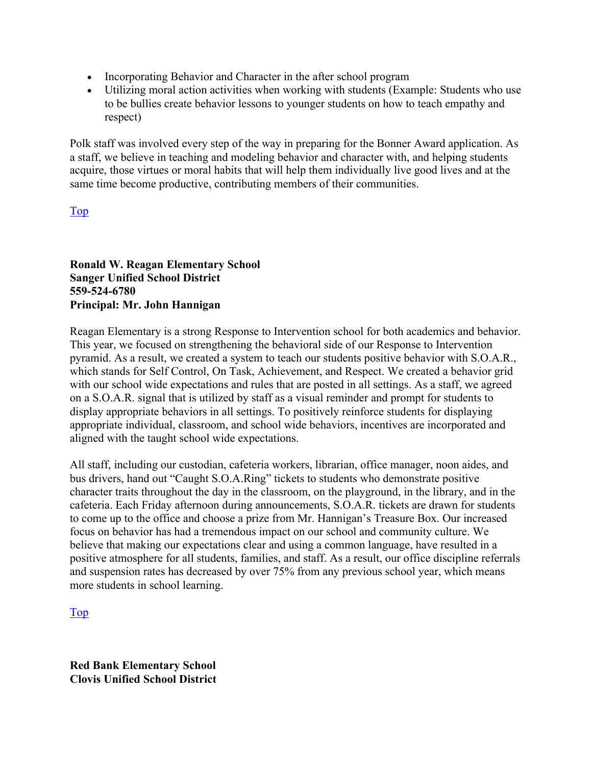- Incorporating Behavior and Character in the after school program
- Utilizing moral action activities when working with students (Example: Students who use to be bullies create behavior lessons to younger students on how to teach empathy and respect)

Polk staff was involved every step of the way in preparing for the Bonner Award application. As a staff, we believe in teaching and modeling behavior and character with, and helping students acquire, those virtues or moral habits that will help them individually live good lives and at the same time become productive, contributing members of their communities.

#### Top

**Ronald W. Reagan Elementary School Sanger Unified School District 559-524-6780 Principal: Mr. John Hannigan** 

Reagan Elementary is a strong Response to Intervention school for both academics and behavior. This year, we focused on strengthening the behavioral side of our Response to Intervention pyramid. As a result, we created a system to teach our students positive behavior with S.O.A.R., which stands for Self Control, On Task, Achievement, and Respect. We created a behavior grid with our school wide expectations and rules that are posted in all settings. As a staff, we agreed on a S.O.A.R. signal that is utilized by staff as a visual reminder and prompt for students to display appropriate behaviors in all settings. To positively reinforce students for displaying appropriate individual, classroom, and school wide behaviors, incentives are incorporated and aligned with the taught school wide expectations.

All staff, including our custodian, cafeteria workers, librarian, office manager, noon aides, and bus drivers, hand out "Caught S.O.A.Ring" tickets to students who demonstrate positive character traits throughout the day in the classroom, on the playground, in the library, and in the cafeteria. Each Friday afternoon during announcements, S.O.A.R. tickets are drawn for students to come up to the office and choose a prize from Mr. Hannigan's Treasure Box. Our increased focus on behavior has had a tremendous impact on our school and community culture. We believe that making our expectations clear and using a common language, have resulted in a positive atmosphere for all students, families, and staff. As a result, our office discipline referrals and suspension rates has decreased by over 75% from any previous school year, which means more students in school learning.

Top

**Red Bank Elementary School Clovis Unified School District**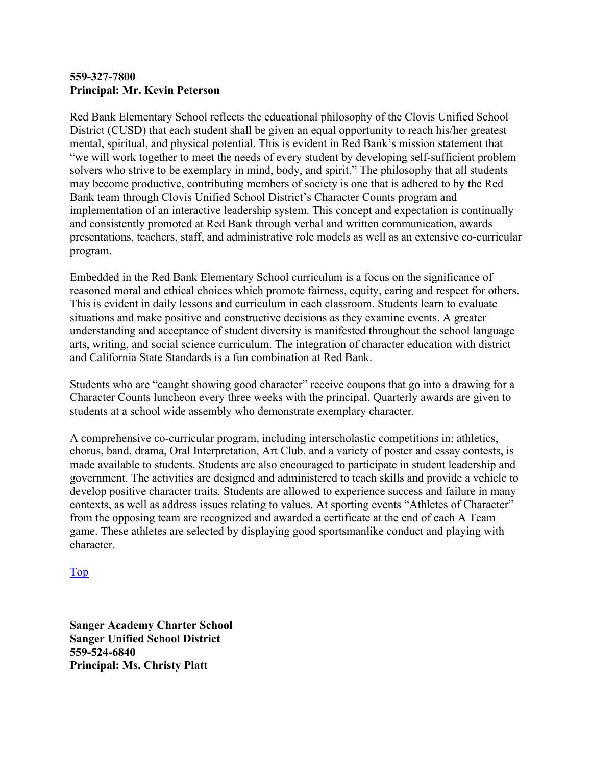#### **559-327-7800 Principal: Mr. Kevin Peterson**

Red Bank Elementary School reflects the educational philosophy of the Clovis Unified School District (CUSD) that each student shall be given an equal opportunity to reach his/her greatest mental, spiritual, and physical potential. This is evident in Red Bank's mission statement that "we will work together to meet the needs of every student by developing self-sufficient problem solvers who strive to be exemplary in mind, body, and spirit." The philosophy that all students may become productive, contributing members of society is one that is adhered to by the Red Bank team through Clovis Unified School District's Character Counts program and implementation of an interactive leadership system. This concept and expectation is continually and consistently promoted at Red Bank through verbal and written communication, awards presentations, teachers, staff, and administrative role models as well as an extensive co-curricular program.

Embedded in the Red Bank Elementary School curriculum is a focus on the significance of reasoned moral and ethical choices which promote fairness, equity, caring and respect for others. This is evident in daily lessons and curriculum in each classroom. Students learn to evaluate situations and make positive and constructive decisions as they examine events. A greater understanding and acceptance of student diversity is manifested throughout the school language arts, writing, and social science curriculum. The integration of character education with district and California State Standards is a fun combination at Red Bank.

Students who are "caught showing good character" receive coupons that go into a drawing for a Character Counts luncheon every three weeks with the principal. Quarterly awards are given to students at a school wide assembly who demonstrate exemplary character.

A comprehensive co-curricular program, including interscholastic competitions in: athletics, chorus, band, drama, Oral Interpretation, Art Club, and a variety of poster and essay contests, is made available to students. Students are also encouraged to participate in student leadership and government. The activities are designed and administered to teach skills and provide a vehicle to develop positive character traits. Students are allowed to experience success and failure in many contexts, as well as address issues relating to values. At sporting events "Athletes of Character" from the opposing team are recognized and awarded a certificate at the end of each A Team game. These athletes are selected by displaying good sportsmanlike conduct and playing with character.

#### Top

**Sanger Academy Charter School Sanger Unified School District 559-524-6840 Principal: Ms. Christy Platt**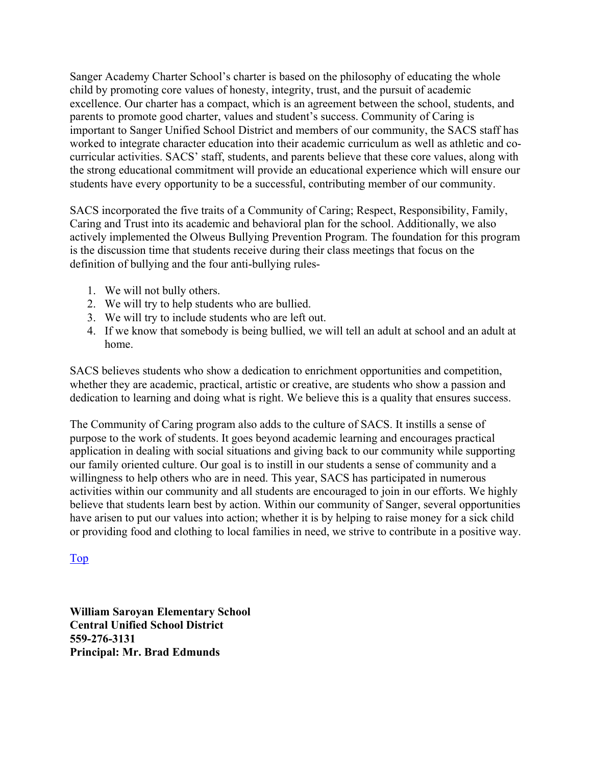Sanger Academy Charter School's charter is based on the philosophy of educating the whole child by promoting core values of honesty, integrity, trust, and the pursuit of academic excellence. Our charter has a compact, which is an agreement between the school, students, and parents to promote good charter, values and student's success. Community of Caring is important to Sanger Unified School District and members of our community, the SACS staff has worked to integrate character education into their academic curriculum as well as athletic and cocurricular activities. SACS' staff, students, and parents believe that these core values, along with the strong educational commitment will provide an educational experience which will ensure our students have every opportunity to be a successful, contributing member of our community.

SACS incorporated the five traits of a Community of Caring; Respect, Responsibility, Family, Caring and Trust into its academic and behavioral plan for the school. Additionally, we also actively implemented the Olweus Bullying Prevention Program. The foundation for this program is the discussion time that students receive during their class meetings that focus on the definition of bullying and the four anti-bullying rules-

- 1. We will not bully others.
- 2. We will try to help students who are bullied.
- 3. We will try to include students who are left out.
- 4. If we know that somebody is being bullied, we will tell an adult at school and an adult at home.

SACS believes students who show a dedication to enrichment opportunities and competition, whether they are academic, practical, artistic or creative, are students who show a passion and dedication to learning and doing what is right. We believe this is a quality that ensures success.

The Community of Caring program also adds to the culture of SACS. It instills a sense of purpose to the work of students. It goes beyond academic learning and encourages practical application in dealing with social situations and giving back to our community while supporting our family oriented culture. Our goal is to instill in our students a sense of community and a willingness to help others who are in need. This year, SACS has participated in numerous activities within our community and all students are encouraged to join in our efforts. We highly believe that students learn best by action. Within our community of Sanger, several opportunities have arisen to put our values into action; whether it is by helping to raise money for a sick child or providing food and clothing to local families in need, we strive to contribute in a positive way.

#### Top

**William Saroyan Elementary School Central Unified School District 559-276-3131 Principal: Mr. Brad Edmunds**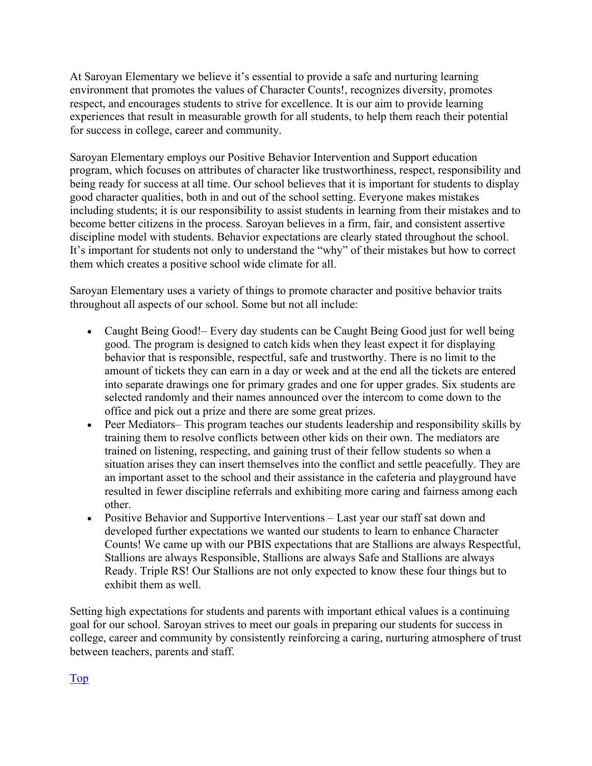At Saroyan Elementary we believe it's essential to provide a safe and nurturing learning environment that promotes the values of Character Counts!, recognizes diversity, promotes respect, and encourages students to strive for excellence. It is our aim to provide learning experiences that result in measurable growth for all students, to help them reach their potential for success in college, career and community.

Saroyan Elementary employs our Positive Behavior Intervention and Support education program, which focuses on attributes of character like trustworthiness, respect, responsibility and being ready for success at all time. Our school believes that it is important for students to display good character qualities, both in and out of the school setting. Everyone makes mistakes including students; it is our responsibility to assist students in learning from their mistakes and to become better citizens in the process. Saroyan believes in a firm, fair, and consistent assertive discipline model with students. Behavior expectations are clearly stated throughout the school. It's important for students not only to understand the "why" of their mistakes but how to correct them which creates a positive school wide climate for all.

Saroyan Elementary uses a variety of things to promote character and positive behavior traits throughout all aspects of our school. Some but not all include:

- Caught Being Good!– Every day students can be Caught Being Good just for well being good. The program is designed to catch kids when they least expect it for displaying behavior that is responsible, respectful, safe and trustworthy. There is no limit to the amount of tickets they can earn in a day or week and at the end all the tickets are entered into separate drawings one for primary grades and one for upper grades. Six students are selected randomly and their names announced over the intercom to come down to the office and pick out a prize and there are some great prizes.
- Peer Mediators– This program teaches our students leadership and responsibility skills by training them to resolve conflicts between other kids on their own. The mediators are trained on listening, respecting, and gaining trust of their fellow students so when a situation arises they can insert themselves into the conflict and settle peacefully. They are an important asset to the school and their assistance in the cafeteria and playground have resulted in fewer discipline referrals and exhibiting more caring and fairness among each other.
- Positive Behavior and Supportive Interventions Last year our staff sat down and developed further expectations we wanted our students to learn to enhance Character Counts! We came up with our PBIS expectations that are Stallions are always Respectful, Stallions are always Responsible, Stallions are always Safe and Stallions are always Ready. Triple RS! Our Stallions are not only expected to know these four things but to exhibit them as well.

Setting high expectations for students and parents with important ethical values is a continuing goal for our school. Saroyan strives to meet our goals in preparing our students for success in college, career and community by consistently reinforcing a caring, nurturing atmosphere of trust between teachers, parents and staff.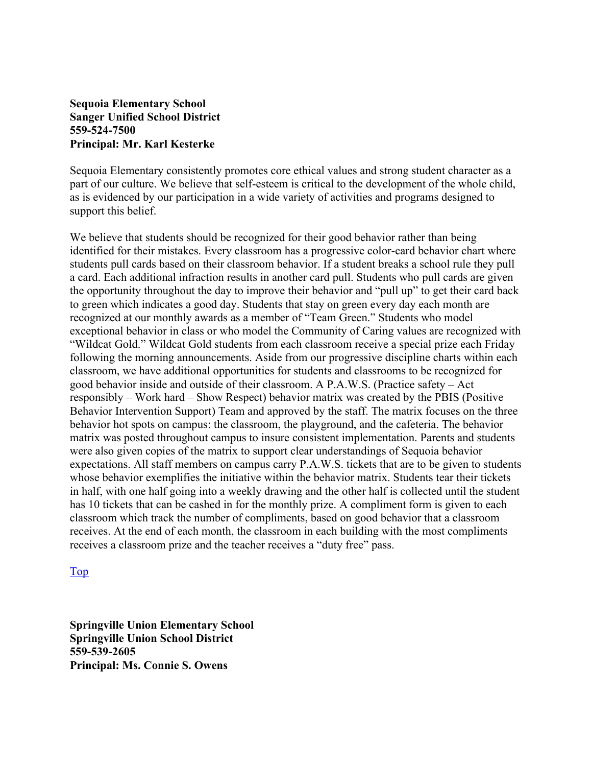#### **Sequoia Elementary School Sanger Unified School District 559-524-7500 Principal: Mr. Karl Kesterke**

Sequoia Elementary consistently promotes core ethical values and strong student character as a part of our culture. We believe that self-esteem is critical to the development of the whole child, as is evidenced by our participation in a wide variety of activities and programs designed to support this belief.

We believe that students should be recognized for their good behavior rather than being identified for their mistakes. Every classroom has a progressive color-card behavior chart where students pull cards based on their classroom behavior. If a student breaks a school rule they pull a card. Each additional infraction results in another card pull. Students who pull cards are given the opportunity throughout the day to improve their behavior and "pull up" to get their card back to green which indicates a good day. Students that stay on green every day each month are recognized at our monthly awards as a member of "Team Green." Students who model exceptional behavior in class or who model the Community of Caring values are recognized with "Wildcat Gold." Wildcat Gold students from each classroom receive a special prize each Friday following the morning announcements. Aside from our progressive discipline charts within each classroom, we have additional opportunities for students and classrooms to be recognized for good behavior inside and outside of their classroom. A P.A.W.S. (Practice safety – Act responsibly – Work hard – Show Respect) behavior matrix was created by the PBIS (Positive Behavior Intervention Support) Team and approved by the staff. The matrix focuses on the three behavior hot spots on campus: the classroom, the playground, and the cafeteria. The behavior matrix was posted throughout campus to insure consistent implementation. Parents and students were also given copies of the matrix to support clear understandings of Sequoia behavior expectations. All staff members on campus carry P.A.W.S. tickets that are to be given to students whose behavior exemplifies the initiative within the behavior matrix. Students tear their tickets in half, with one half going into a weekly drawing and the other half is collected until the student has 10 tickets that can be cashed in for the monthly prize. A compliment form is given to each classroom which track the number of compliments, based on good behavior that a classroom receives. At the end of each month, the classroom in each building with the most compliments receives a classroom prize and the teacher receives a "duty free" pass.

#### Top

**Springville Union Elementary School Springville Union School District 559-539-2605 Principal: Ms. Connie S. Owens**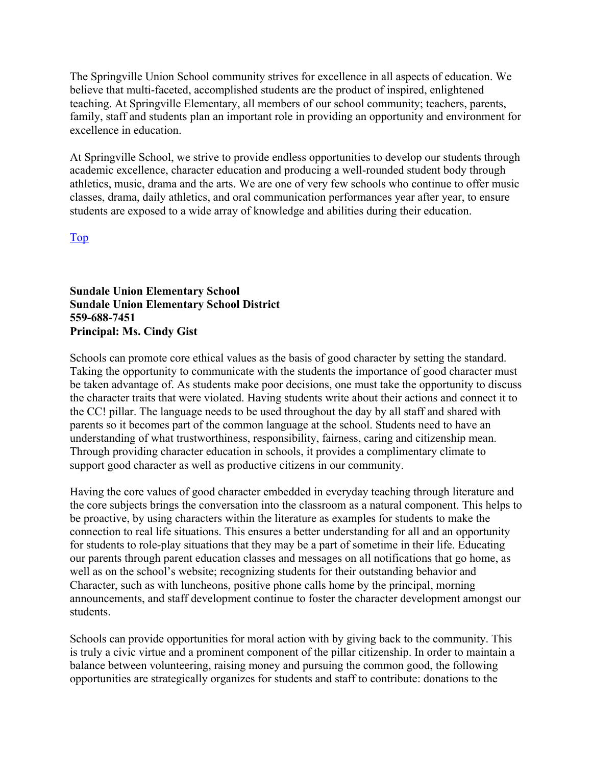The Springville Union School community strives for excellence in all aspects of education. We believe that multi-faceted, accomplished students are the product of inspired, enlightened teaching. At Springville Elementary, all members of our school community; teachers, parents, family, staff and students plan an important role in providing an opportunity and environment for excellence in education.

At Springville School, we strive to provide endless opportunities to develop our students through academic excellence, character education and producing a well-rounded student body through athletics, music, drama and the arts. We are one of very few schools who continue to offer music classes, drama, daily athletics, and oral communication performances year after year, to ensure students are exposed to a wide array of knowledge and abilities during their education.

Top

**Sundale Union Elementary School Sundale Union Elementary School District 559-688-7451 Principal: Ms. Cindy Gist** 

Schools can promote core ethical values as the basis of good character by setting the standard. Taking the opportunity to communicate with the students the importance of good character must be taken advantage of. As students make poor decisions, one must take the opportunity to discuss the character traits that were violated. Having students write about their actions and connect it to the CC! pillar. The language needs to be used throughout the day by all staff and shared with parents so it becomes part of the common language at the school. Students need to have an understanding of what trustworthiness, responsibility, fairness, caring and citizenship mean. Through providing character education in schools, it provides a complimentary climate to support good character as well as productive citizens in our community.

Having the core values of good character embedded in everyday teaching through literature and the core subjects brings the conversation into the classroom as a natural component. This helps to be proactive, by using characters within the literature as examples for students to make the connection to real life situations. This ensures a better understanding for all and an opportunity for students to role-play situations that they may be a part of sometime in their life. Educating our parents through parent education classes and messages on all notifications that go home, as well as on the school's website; recognizing students for their outstanding behavior and Character, such as with luncheons, positive phone calls home by the principal, morning announcements, and staff development continue to foster the character development amongst our students.

Schools can provide opportunities for moral action with by giving back to the community. This is truly a civic virtue and a prominent component of the pillar citizenship. In order to maintain a balance between volunteering, raising money and pursuing the common good, the following opportunities are strategically organizes for students and staff to contribute: donations to the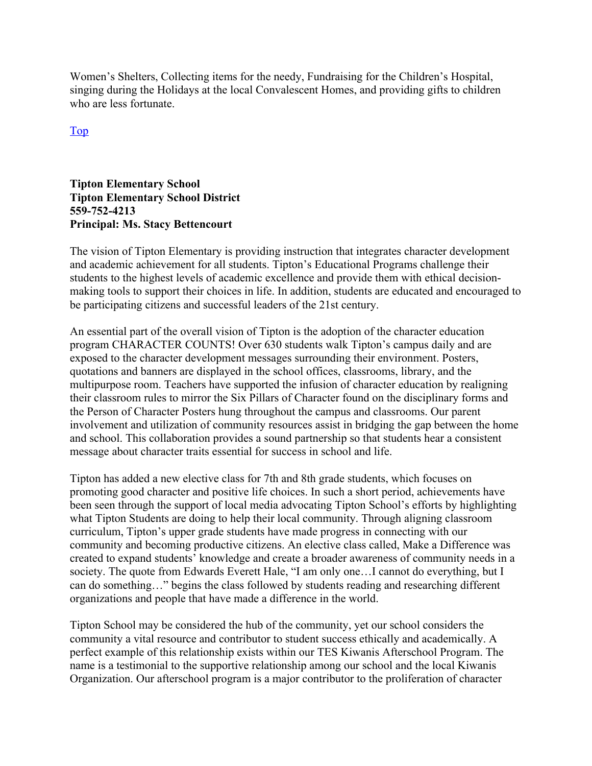Women's Shelters, Collecting items for the needy, Fundraising for the Children's Hospital, singing during the Holidays at the local Convalescent Homes, and providing gifts to children who are less fortunate.

Top

#### **Tipton Elementary School Tipton Elementary School District 559-752-4213 Principal: Ms. Stacy Bettencourt**

The vision of Tipton Elementary is providing instruction that integrates character development and academic achievement for all students. Tipton's Educational Programs challenge their students to the highest levels of academic excellence and provide them with ethical decisionmaking tools to support their choices in life. In addition, students are educated and encouraged to be participating citizens and successful leaders of the 21st century.

An essential part of the overall vision of Tipton is the adoption of the character education program CHARACTER COUNTS! Over 630 students walk Tipton's campus daily and are exposed to the character development messages surrounding their environment. Posters, quotations and banners are displayed in the school offices, classrooms, library, and the multipurpose room. Teachers have supported the infusion of character education by realigning their classroom rules to mirror the Six Pillars of Character found on the disciplinary forms and the Person of Character Posters hung throughout the campus and classrooms. Our parent involvement and utilization of community resources assist in bridging the gap between the home and school. This collaboration provides a sound partnership so that students hear a consistent message about character traits essential for success in school and life.

Tipton has added a new elective class for 7th and 8th grade students, which focuses on promoting good character and positive life choices. In such a short period, achievements have been seen through the support of local media advocating Tipton School's efforts by highlighting what Tipton Students are doing to help their local community. Through aligning classroom curriculum, Tipton's upper grade students have made progress in connecting with our community and becoming productive citizens. An elective class called, Make a Difference was created to expand students' knowledge and create a broader awareness of community needs in a society. The quote from Edwards Everett Hale, "I am only one…I cannot do everything, but I can do something…" begins the class followed by students reading and researching different organizations and people that have made a difference in the world.

Tipton School may be considered the hub of the community, yet our school considers the community a vital resource and contributor to student success ethically and academically. A perfect example of this relationship exists within our TES Kiwanis Afterschool Program. The name is a testimonial to the supportive relationship among our school and the local Kiwanis Organization. Our afterschool program is a major contributor to the proliferation of character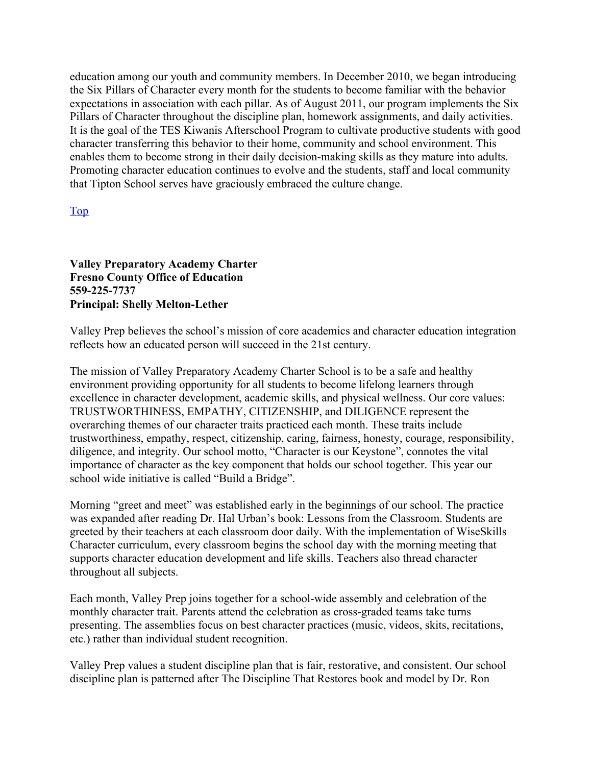education among our youth and community members. In December 2010, we began introducing the Six Pillars of Character every month for the students to become familiar with the behavior expectations in association with each pillar. As of August 2011, our program implements the Six Pillars of Character throughout the discipline plan, homework assignments, and daily activities. It is the goal of the TES Kiwanis Afterschool Program to cultivate productive students with good character transferring this behavior to their home, community and school environment. This enables them to become strong in their daily decision-making skills as they mature into adults. Promoting character education continues to evolve and the students, staff and local community that Tipton School serves have graciously embraced the culture change.

#### Top

#### **Valley Preparatory Academy Charter Fresno County Office of Education 559-225-7737 Principal: Shelly Melton-Lether**

Valley Prep believes the school's mission of core academics and character education integration reflects how an educated person will succeed in the 21st century.

The mission of Valley Preparatory Academy Charter School is to be a safe and healthy environment providing opportunity for all students to become lifelong learners through excellence in character development, academic skills, and physical wellness. Our core values: TRUSTWORTHINESS, EMPATHY, CITIZENSHIP, and DILIGENCE represent the overarching themes of our character traits practiced each month. These traits include trustworthiness, empathy, respect, citizenship, caring, fairness, honesty, courage, responsibility, diligence, and integrity. Our school motto, "Character is our Keystone", connotes the vital importance of character as the key component that holds our school together. This year our school wide initiative is called "Build a Bridge".

Morning "greet and meet" was established early in the beginnings of our school. The practice was expanded after reading Dr. Hal Urban's book: Lessons from the Classroom. Students are greeted by their teachers at each classroom door daily. With the implementation of WiseSkills Character curriculum, every classroom begins the school day with the morning meeting that supports character education development and life skills. Teachers also thread character throughout all subjects.

Each month, Valley Prep joins together for a school-wide assembly and celebration of the monthly character trait. Parents attend the celebration as cross-graded teams take turns presenting. The assemblies focus on best character practices (music, videos, skits, recitations, etc.) rather than individual student recognition.

Valley Prep values a student discipline plan that is fair, restorative, and consistent. Our school discipline plan is patterned after The Discipline That Restores book and model by Dr. Ron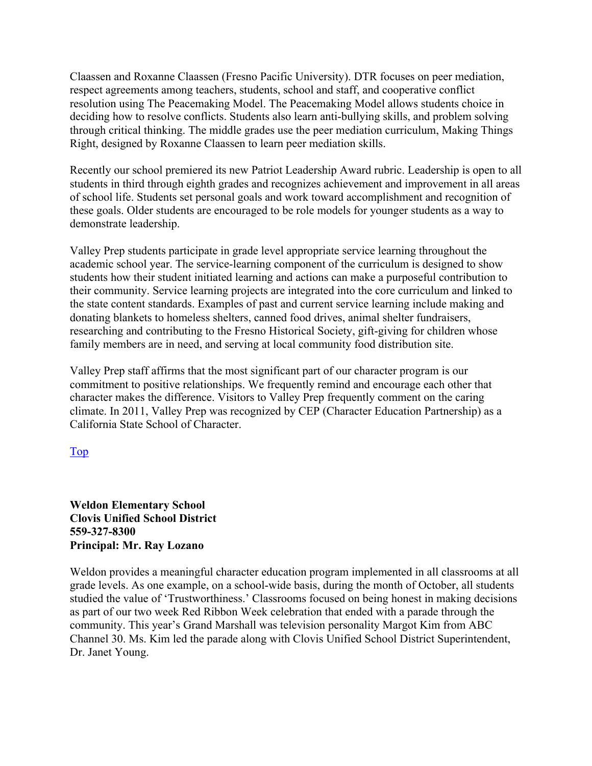Claassen and Roxanne Claassen (Fresno Pacific University). DTR focuses on peer mediation, respect agreements among teachers, students, school and staff, and cooperative conflict resolution using The Peacemaking Model. The Peacemaking Model allows students choice in deciding how to resolve conflicts. Students also learn anti-bullying skills, and problem solving through critical thinking. The middle grades use the peer mediation curriculum, Making Things Right, designed by Roxanne Claassen to learn peer mediation skills.

Recently our school premiered its new Patriot Leadership Award rubric. Leadership is open to all students in third through eighth grades and recognizes achievement and improvement in all areas of school life. Students set personal goals and work toward accomplishment and recognition of these goals. Older students are encouraged to be role models for younger students as a way to demonstrate leadership.

Valley Prep students participate in grade level appropriate service learning throughout the academic school year. The service-learning component of the curriculum is designed to show students how their student initiated learning and actions can make a purposeful contribution to their community. Service learning projects are integrated into the core curriculum and linked to the state content standards. Examples of past and current service learning include making and donating blankets to homeless shelters, canned food drives, animal shelter fundraisers, researching and contributing to the Fresno Historical Society, gift-giving for children whose family members are in need, and serving at local community food distribution site.

Valley Prep staff affirms that the most significant part of our character program is our commitment to positive relationships. We frequently remind and encourage each other that character makes the difference. Visitors to Valley Prep frequently comment on the caring climate. In 2011, Valley Prep was recognized by CEP (Character Education Partnership) as a California State School of Character.

Top

**Weldon Elementary School Clovis Unified School District 559-327-8300 Principal: Mr. Ray Lozano** 

Weldon provides a meaningful character education program implemented in all classrooms at all grade levels. As one example, on a school-wide basis, during the month of October, all students studied the value of 'Trustworthiness.' Classrooms focused on being honest in making decisions as part of our two week Red Ribbon Week celebration that ended with a parade through the community. This year's Grand Marshall was television personality Margot Kim from ABC Channel 30. Ms. Kim led the parade along with Clovis Unified School District Superintendent, Dr. Janet Young.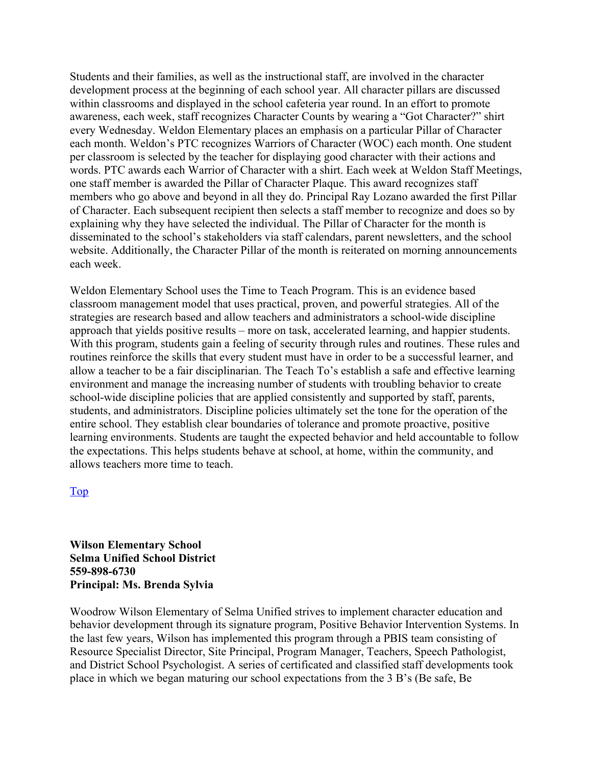Students and their families, as well as the instructional staff, are involved in the character development process at the beginning of each school year. All character pillars are discussed within classrooms and displayed in the school cafeteria year round. In an effort to promote awareness, each week, staff recognizes Character Counts by wearing a "Got Character?" shirt every Wednesday. Weldon Elementary places an emphasis on a particular Pillar of Character each month. Weldon's PTC recognizes Warriors of Character (WOC) each month. One student per classroom is selected by the teacher for displaying good character with their actions and words. PTC awards each Warrior of Character with a shirt. Each week at Weldon Staff Meetings, one staff member is awarded the Pillar of Character Plaque. This award recognizes staff members who go above and beyond in all they do. Principal Ray Lozano awarded the first Pillar of Character. Each subsequent recipient then selects a staff member to recognize and does so by explaining why they have selected the individual. The Pillar of Character for the month is disseminated to the school's stakeholders via staff calendars, parent newsletters, and the school website. Additionally, the Character Pillar of the month is reiterated on morning announcements each week.

Weldon Elementary School uses the Time to Teach Program. This is an evidence based classroom management model that uses practical, proven, and powerful strategies. All of the strategies are research based and allow teachers and administrators a school-wide discipline approach that yields positive results – more on task, accelerated learning, and happier students. With this program, students gain a feeling of security through rules and routines. These rules and routines reinforce the skills that every student must have in order to be a successful learner, and allow a teacher to be a fair disciplinarian. The Teach To's establish a safe and effective learning environment and manage the increasing number of students with troubling behavior to create school-wide discipline policies that are applied consistently and supported by staff, parents, students, and administrators. Discipline policies ultimately set the tone for the operation of the entire school. They establish clear boundaries of tolerance and promote proactive, positive learning environments. Students are taught the expected behavior and held accountable to follow the expectations. This helps students behave at school, at home, within the community, and allows teachers more time to teach.

#### Top

**Wilson Elementary School Selma Unified School District 559-898-6730 Principal: Ms. Brenda Sylvia** 

Woodrow Wilson Elementary of Selma Unified strives to implement character education and behavior development through its signature program, Positive Behavior Intervention Systems. In the last few years, Wilson has implemented this program through a PBIS team consisting of Resource Specialist Director, Site Principal, Program Manager, Teachers, Speech Pathologist, and District School Psychologist. A series of certificated and classified staff developments took place in which we began maturing our school expectations from the 3 B's (Be safe, Be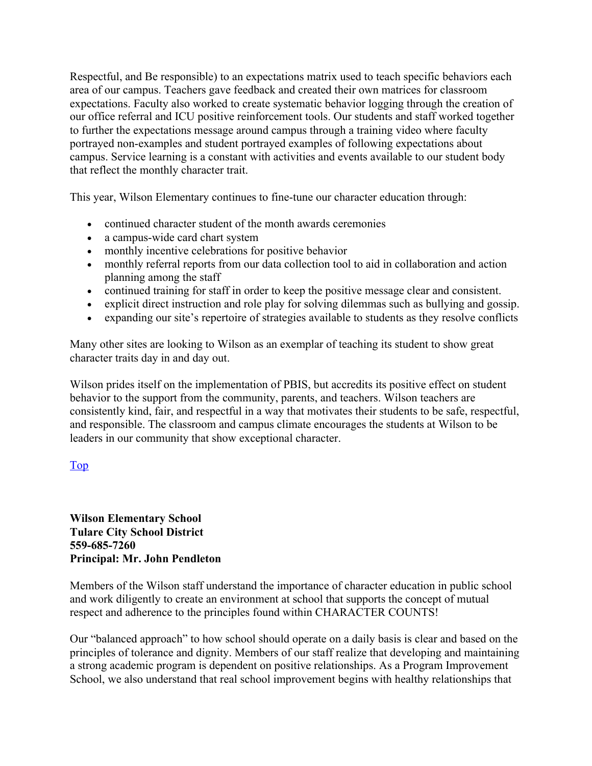Respectful, and Be responsible) to an expectations matrix used to teach specific behaviors each area of our campus. Teachers gave feedback and created their own matrices for classroom expectations. Faculty also worked to create systematic behavior logging through the creation of our office referral and ICU positive reinforcement tools. Our students and staff worked together to further the expectations message around campus through a training video where faculty portrayed non-examples and student portrayed examples of following expectations about campus. Service learning is a constant with activities and events available to our student body that reflect the monthly character trait.

This year, Wilson Elementary continues to fine-tune our character education through:

- continued character student of the month awards ceremonies
- a campus-wide card chart system
- monthly incentive celebrations for positive behavior
- monthly referral reports from our data collection tool to aid in collaboration and action planning among the staff
- continued training for staff in order to keep the positive message clear and consistent.
- explicit direct instruction and role play for solving dilemmas such as bullying and gossip.
- expanding our site's repertoire of strategies available to students as they resolve conflicts

Many other sites are looking to Wilson as an exemplar of teaching its student to show great character traits day in and day out.

Wilson prides itself on the implementation of PBIS, but accredits its positive effect on student behavior to the support from the community, parents, and teachers. Wilson teachers are consistently kind, fair, and respectful in a way that motivates their students to be safe, respectful, and responsible. The classroom and campus climate encourages the students at Wilson to be leaders in our community that show exceptional character.

#### Top

**Wilson Elementary School Tulare City School District 559-685-7260 Principal: Mr. John Pendleton** 

Members of the Wilson staff understand the importance of character education in public school and work diligently to create an environment at school that supports the concept of mutual respect and adherence to the principles found within CHARACTER COUNTS!

Our "balanced approach" to how school should operate on a daily basis is clear and based on the principles of tolerance and dignity. Members of our staff realize that developing and maintaining a strong academic program is dependent on positive relationships. As a Program Improvement School, we also understand that real school improvement begins with healthy relationships that